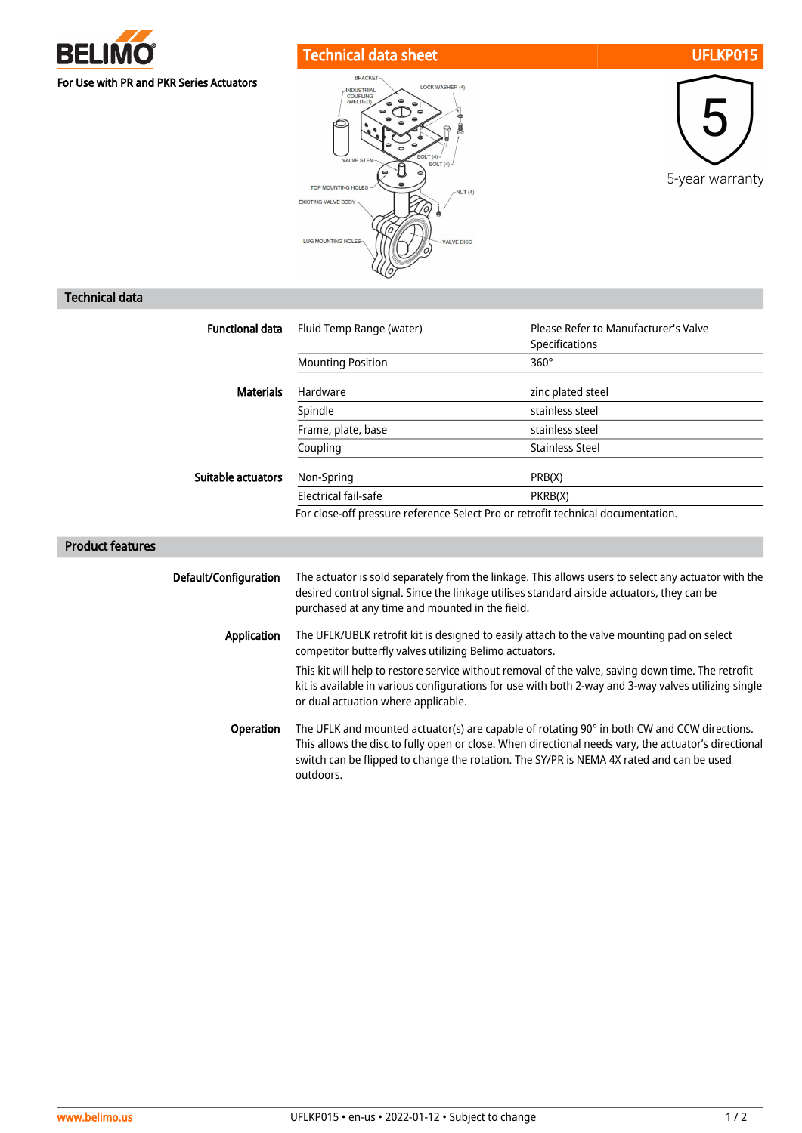

## Technical data sheet UFLKP015







## Technical data

| <b>Functional data</b>  | Fluid Temp Range (water)                                                                                                                                                                                                                                                                                                                                                                                    | Please Refer to Manufacturer's Valve |  |
|-------------------------|-------------------------------------------------------------------------------------------------------------------------------------------------------------------------------------------------------------------------------------------------------------------------------------------------------------------------------------------------------------------------------------------------------------|--------------------------------------|--|
|                         |                                                                                                                                                                                                                                                                                                                                                                                                             | Specifications                       |  |
|                         | <b>Mounting Position</b>                                                                                                                                                                                                                                                                                                                                                                                    | $360^\circ$                          |  |
| <b>Materials</b>        | Hardware                                                                                                                                                                                                                                                                                                                                                                                                    | zinc plated steel                    |  |
|                         | Spindle                                                                                                                                                                                                                                                                                                                                                                                                     | stainless steel                      |  |
|                         | Frame, plate, base                                                                                                                                                                                                                                                                                                                                                                                          | stainless steel                      |  |
|                         | Coupling                                                                                                                                                                                                                                                                                                                                                                                                    | <b>Stainless Steel</b>               |  |
| Suitable actuators      | Non-Spring                                                                                                                                                                                                                                                                                                                                                                                                  | PRB(X)                               |  |
|                         | Electrical fail-safe                                                                                                                                                                                                                                                                                                                                                                                        | PKRB(X)                              |  |
|                         | For close-off pressure reference Select Pro or retrofit technical documentation.                                                                                                                                                                                                                                                                                                                            |                                      |  |
| <b>Product features</b> |                                                                                                                                                                                                                                                                                                                                                                                                             |                                      |  |
| Default/Configuration   | The actuator is sold separately from the linkage. This allows users to select any actuator with the<br>desired control signal. Since the linkage utilises standard airside actuators, they can be<br>purchased at any time and mounted in the field.                                                                                                                                                        |                                      |  |
| <b>Application</b>      | The UFLK/UBLK retrofit kit is designed to easily attach to the valve mounting pad on select<br>competitor butterfly valves utilizing Belimo actuators.<br>This kit will help to restore service without removal of the valve, saving down time. The retrofit<br>kit is available in various configurations for use with both 2-way and 3-way valves utilizing single<br>or dual actuation where applicable. |                                      |  |
|                         |                                                                                                                                                                                                                                                                                                                                                                                                             |                                      |  |
| Operation               | The UFLK and mounted actuator(s) are capable of rotating 90° in both CW and CCW directions.<br>to although the film of a company of the company of the control of the company of the company of the distribution                                                                                                                                                                                            |                                      |  |

This allows the disc to fully open or close. When directional needs vary, the actuator's directional switch can be flipped to change the rotation. The SY/PR is NEMA 4X rated and can be used outdoors.